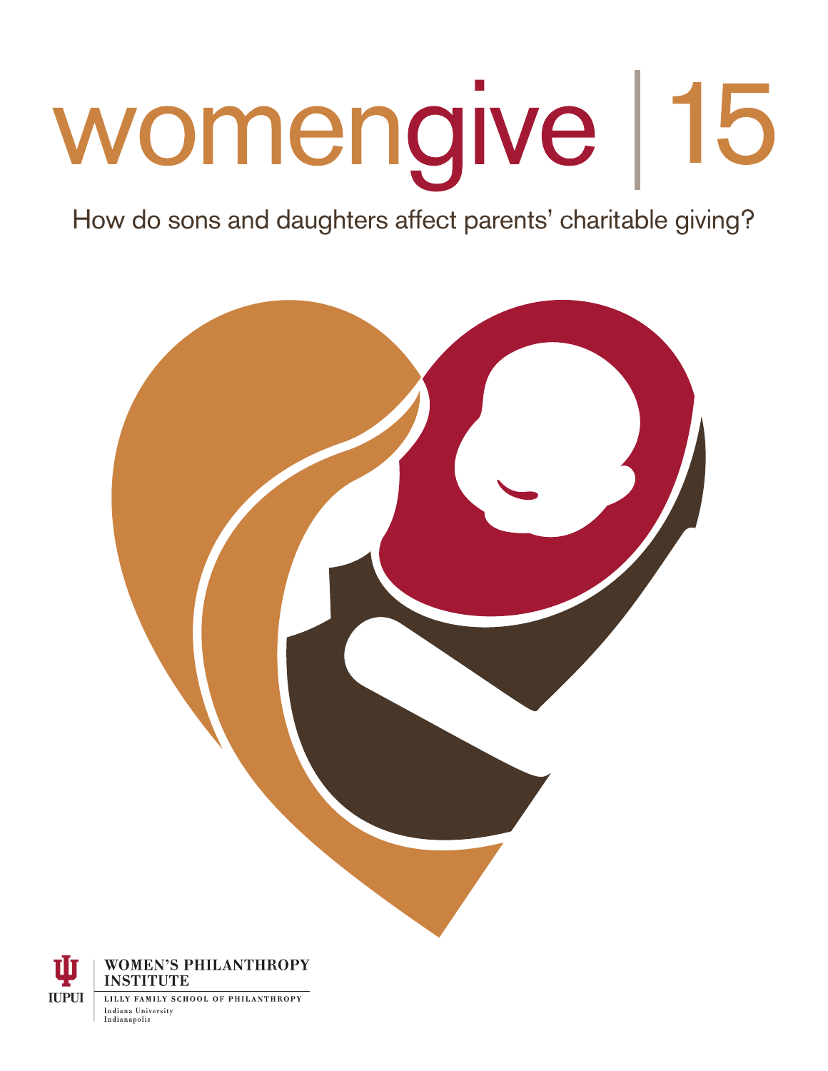# womengive | 15

How do sons and daughters affect parents' charitable giving?





Indianapolis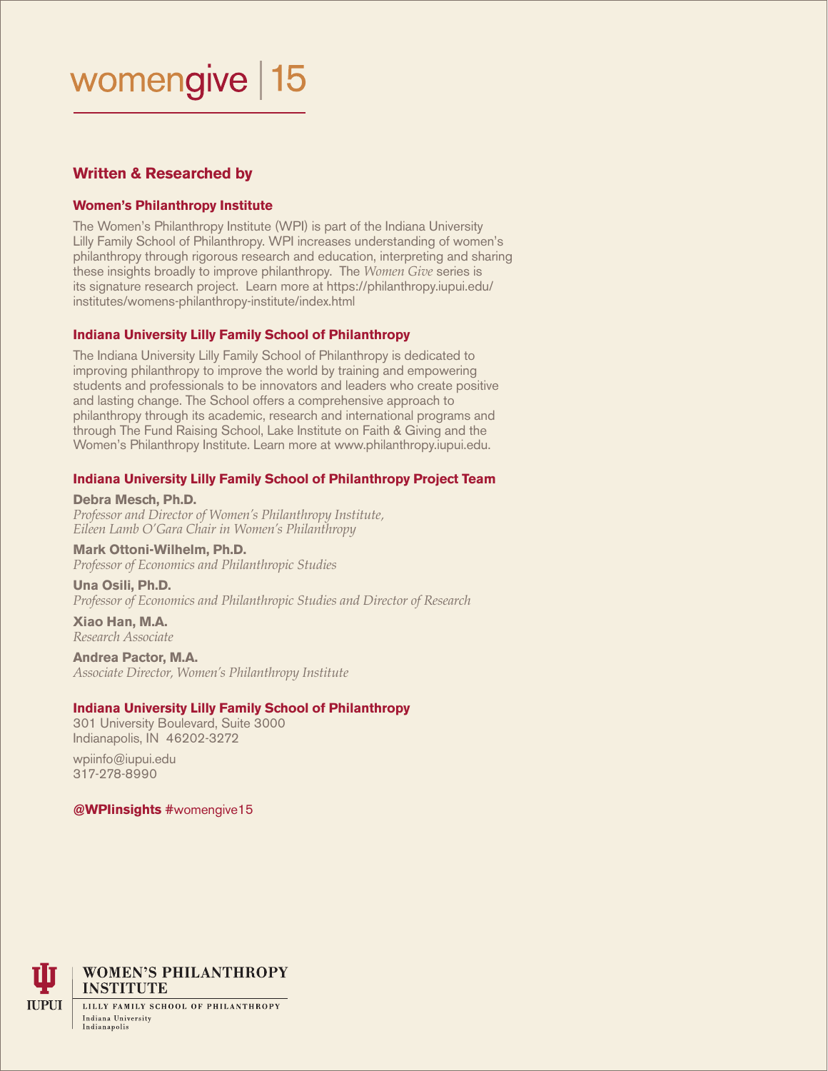## womengive | 15

#### **Written & Researched by**

#### **Women's Philanthropy Institute**

The Women's Philanthropy Institute (WPI) is part of the Indiana University Lilly Family School of Philanthropy. WPI increases understanding of women's philanthropy through rigorous research and education, interpreting and sharing these insights broadly to improve philanthropy. The *Women Give* series is its signature research project. Learn more at https://philanthropy.iupui.edu/ institutes/womens-philanthropy-institute/index.html

#### **Indiana University Lilly Family School of Philanthropy**

The Indiana University Lilly Family School of Philanthropy is dedicated to improving philanthropy to improve the world by training and empowering students and professionals to be innovators and leaders who create positive and lasting change. The School offers a comprehensive approach to philanthropy through its academic, research and international programs and through The Fund Raising School, Lake Institute on Faith & Giving and the Women's Philanthropy Institute. Learn more at www.philanthropy.iupui.edu.

#### **Indiana University Lilly Family School of Philanthropy Project Team**

**Debra Mesch, Ph.D.**  *Professor and Director of Women's Philanthropy Institute, Eileen Lamb O'Gara Chair in Women's Philanthropy*

#### **Mark Ottoni-Wilhelm, Ph.D.**

*Professor of Economics and Philanthropic Studies* 

**Una Osili, Ph.D.**  *Professor of Economics and Philanthropic Studies and Director of Research*

**Xiao Han, M.A.**  *Research Associate*

#### **Andrea Pactor, M.A.**

*Associate Director, Women's Philanthropy Institute*

#### **Indiana University Lilly Family School of Philanthropy**

301 University Boulevard, Suite 3000 Indianapolis, IN 46202-3272

wpiinfo@iupui.edu 317-278-8990

#### **@WPIinsights** #womengive15



**WOMEN'S PHILANTHROPY INSTITUTE** 

LILLY FAMILY SCHOOL OF PHILANTHROPY Indiana University Indianapolis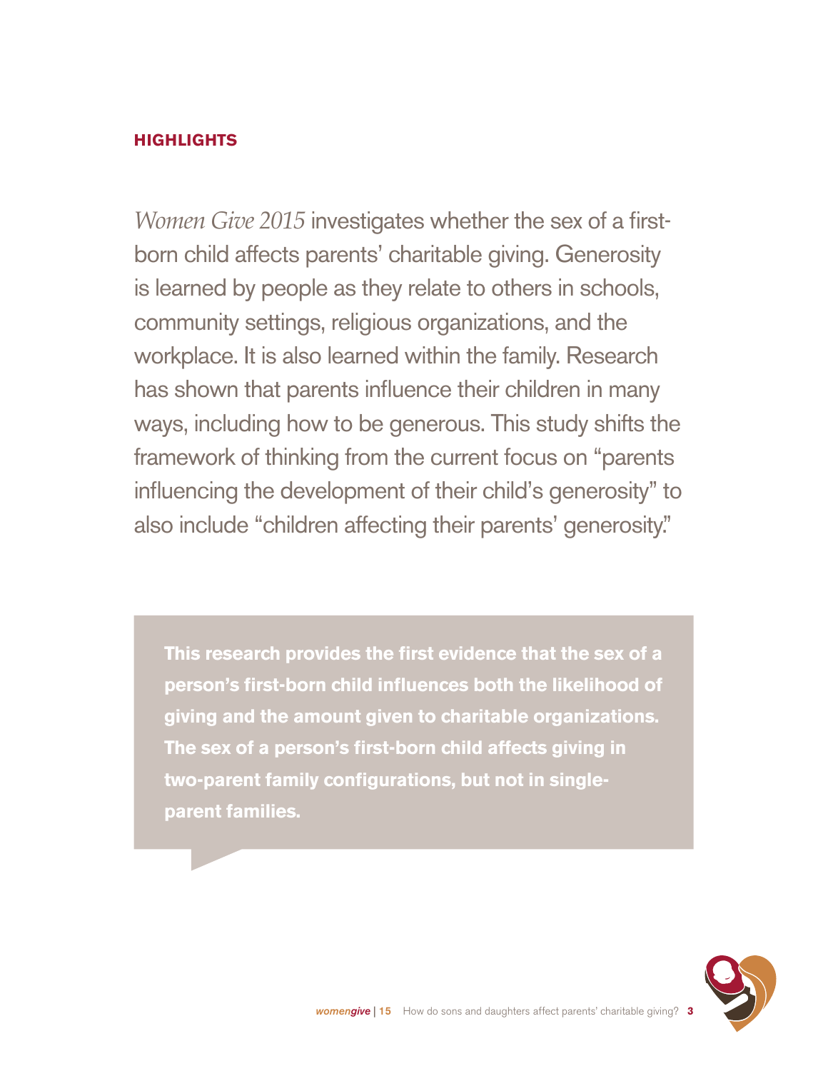#### **HIGHLIGHTS**

*Women Give 2015* investigates whether the sex of a firstborn child affects parents' charitable giving. Generosity is learned by people as they relate to others in schools, community settings, religious organizations, and the workplace. It is also learned within the family. Research has shown that parents influence their children in many ways, including how to be generous. This study shifts the framework of thinking from the current focus on "parents influencing the development of their child's generosity" to also include "children affecting their parents' generosity."

**This research provides the first evidence that the sex of a person's first-born child influences both the likelihood of giving and the amount given to charitable organizations. The sex of a person's first-born child affects giving in two-parent family configurations, but not in singleparent families.** 

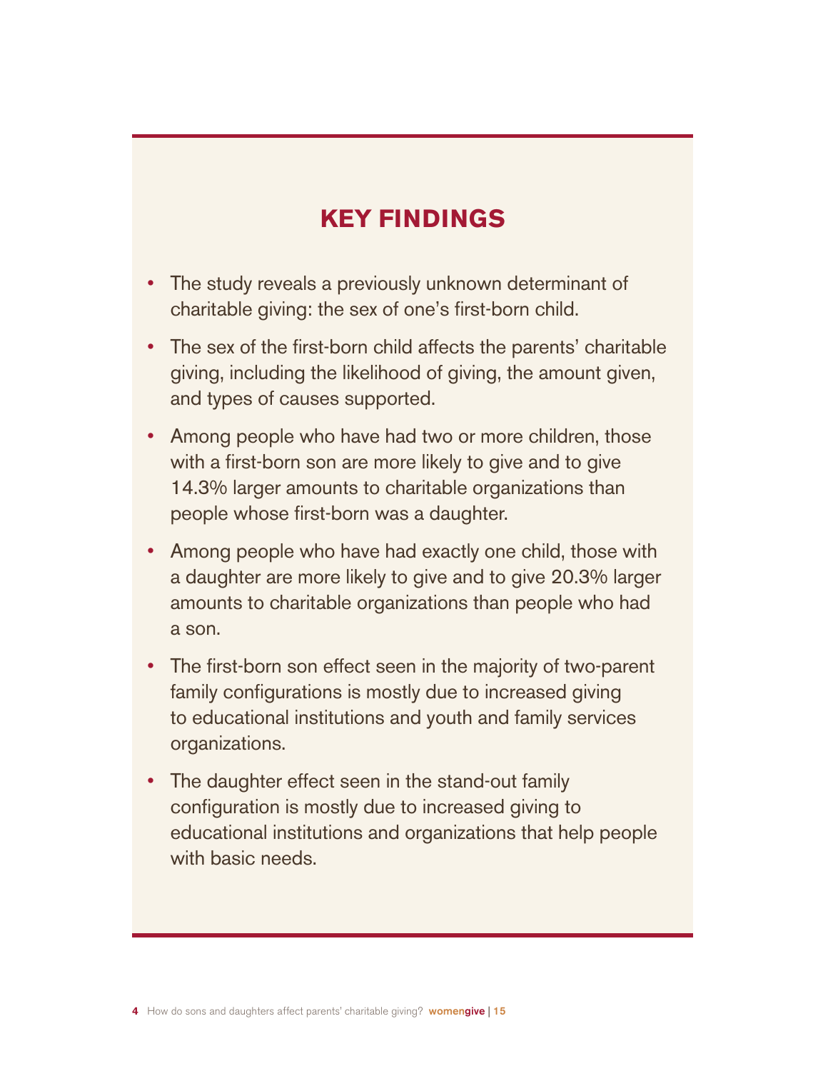### **KEY FINDINGS**

- The study reveals a previously unknown determinant of charitable giving: the sex of one's first-born child.
- The sex of the first-born child affects the parents' charitable giving, including the likelihood of giving, the amount given, and types of causes supported.
- Among people who have had two or more children, those with a first-born son are more likely to give and to give 14.3% larger amounts to charitable organizations than people whose first-born was a daughter.
- Among people who have had exactly one child, those with a daughter are more likely to give and to give 20.3% larger amounts to charitable organizations than people who had a son.
- The first-born son effect seen in the majority of two-parent family configurations is mostly due to increased giving to educational institutions and youth and family services organizations.
- The daughter effect seen in the stand-out family configuration is mostly due to increased giving to educational institutions and organizations that help people with basic needs.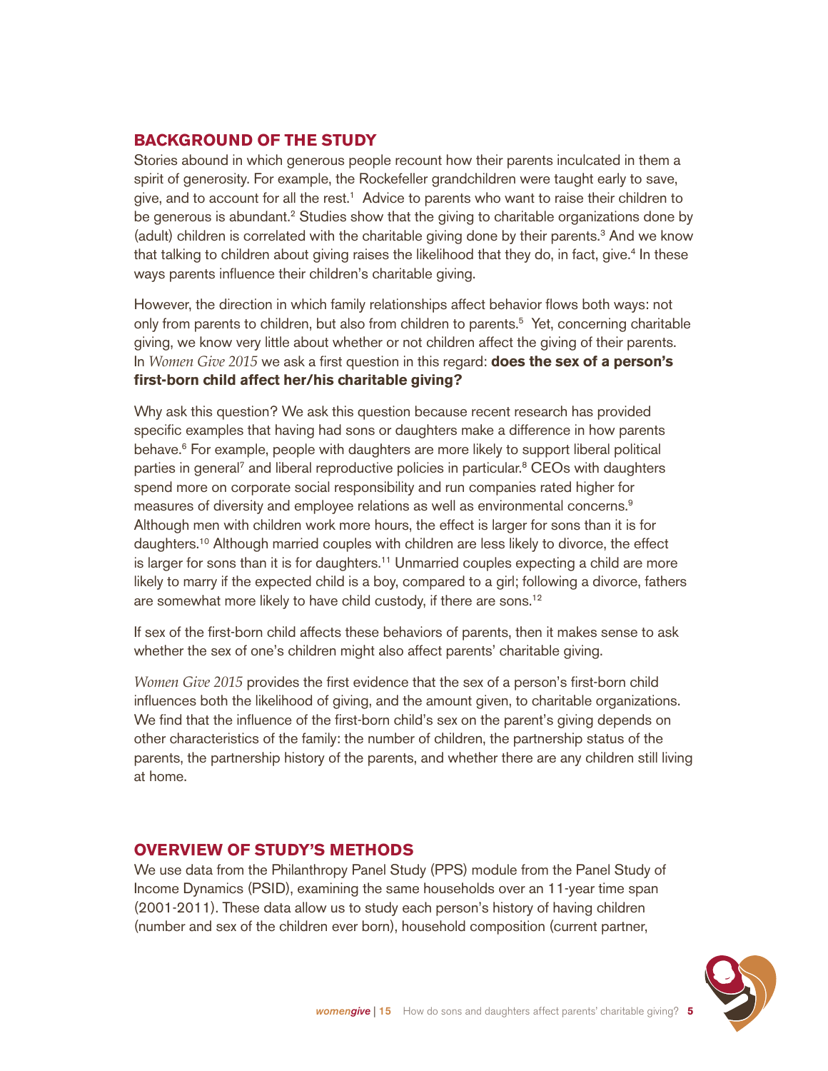#### **BACKGROUND OF THE STUDY**

Stories abound in which generous people recount how their parents inculcated in them a spirit of generosity. For example, the Rockefeller grandchildren were taught early to save, give, and to account for all the rest.1 Advice to parents who want to raise their children to be generous is abundant.<sup>2</sup> Studies show that the giving to charitable organizations done by (adult) children is correlated with the charitable giving done by their parents.<sup>3</sup> And we know that talking to children about giving raises the likelihood that they do, in fact, give.<sup>4</sup> In these ways parents influence their children's charitable giving.

However, the direction in which family relationships affect behavior flows both ways: not only from parents to children, but also from children to parents.<sup>5</sup> Yet, concerning charitable giving, we know very little about whether or not children affect the giving of their parents. In *Women Give 2015* we ask a first question in this regard: **does the sex of a person's first-born child affect her/his charitable giving?**

Why ask this question? We ask this question because recent research has provided specific examples that having had sons or daughters make a difference in how parents behave.<sup>6</sup> For example, people with daughters are more likely to support liberal political parties in general<sup>7</sup> and liberal reproductive policies in particular.<sup>8</sup> CEOs with daughters spend more on corporate social responsibility and run companies rated higher for measures of diversity and employee relations as well as environmental concerns.9 Although men with children work more hours, the effect is larger for sons than it is for daughters.10 Although married couples with children are less likely to divorce, the effect is larger for sons than it is for daughters.11 Unmarried couples expecting a child are more likely to marry if the expected child is a boy, compared to a girl; following a divorce, fathers are somewhat more likely to have child custody, if there are sons.12

If sex of the first-born child affects these behaviors of parents, then it makes sense to ask whether the sex of one's children might also affect parents' charitable giving.

*Women Give 2015* provides the first evidence that the sex of a person's first-born child influences both the likelihood of giving, and the amount given, to charitable organizations. We find that the influence of the first-born child's sex on the parent's giving depends on other characteristics of the family: the number of children, the partnership status of the parents, the partnership history of the parents, and whether there are any children still living at home.

#### **OVERVIEW OF STUDY'S METHODS**

We use data from the Philanthropy Panel Study (PPS) module from the Panel Study of Income Dynamics (PSID), examining the same households over an 11-year time span (2001-2011). These data allow us to study each person's history of having children (number and sex of the children ever born), household composition (current partner,

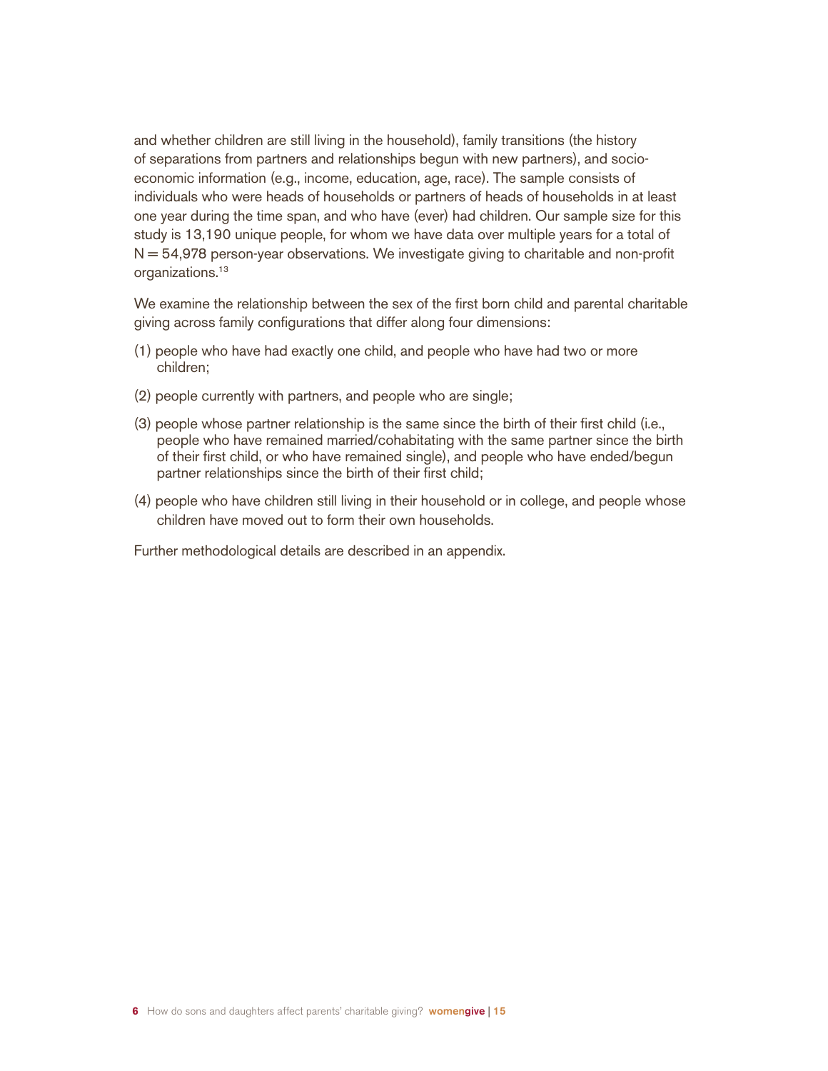and whether children are still living in the household), family transitions (the history of separations from partners and relationships begun with new partners), and socioeconomic information (e.g., income, education, age, race). The sample consists of individuals who were heads of households or partners of heads of households in at least one year during the time span, and who have (ever) had children. Our sample size for this study is 13,190 unique people, for whom we have data over multiple years for a total of  $N = 54,978$  person-year observations. We investigate giving to charitable and non-profit organizations.<sup>13</sup>

We examine the relationship between the sex of the first born child and parental charitable giving across family configurations that differ along four dimensions:

- (1) people who have had exactly one child, and people who have had two or more children;
- (2) people currently with partners, and people who are single;
- (3) people whose partner relationship is the same since the birth of their first child (i.e., people who have remained married/cohabitating with the same partner since the birth of their first child, or who have remained single), and people who have ended/begun partner relationships since the birth of their first child;
- (4) people who have children still living in their household or in college, and people whose children have moved out to form their own households.

Further methodological details are described in an appendix.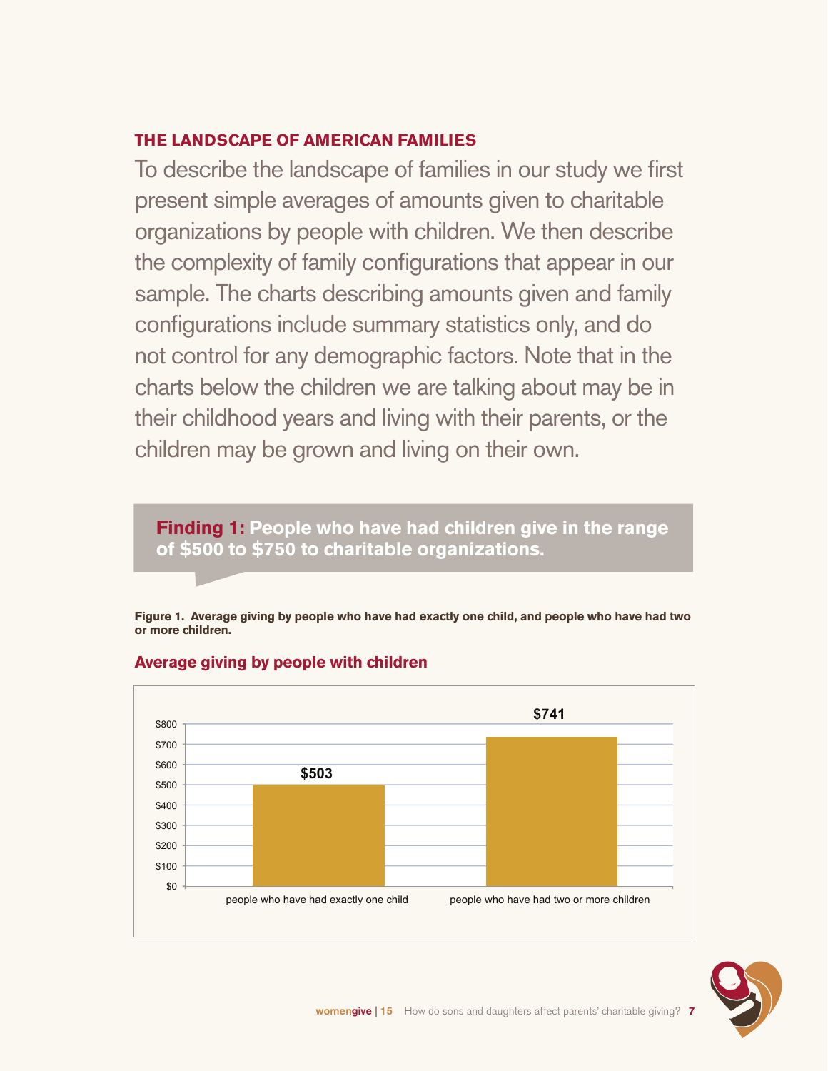#### **THE LANDSCAPE OF AMERICAN FAMILIES**

To describe the landscape of families in our study we first present simple averages of amounts given to charitable organizations by people with children. We then describe the complexity of family configurations that appear in our sample. The charts describing amounts given and family configurations include summary statistics only, and do not control for any demographic factors. Note that in the charts below the children we are talking about may be in their childhood years and living with their parents, or the children may be grown and living on their own.

**Finding 1: People who have had children give in the range of \$500 to \$750 to charitable organizations.**

**Figure 1. Average giving by people who have had exactly one child, and people who have had two or more children.**



#### **Average giving by people with children**

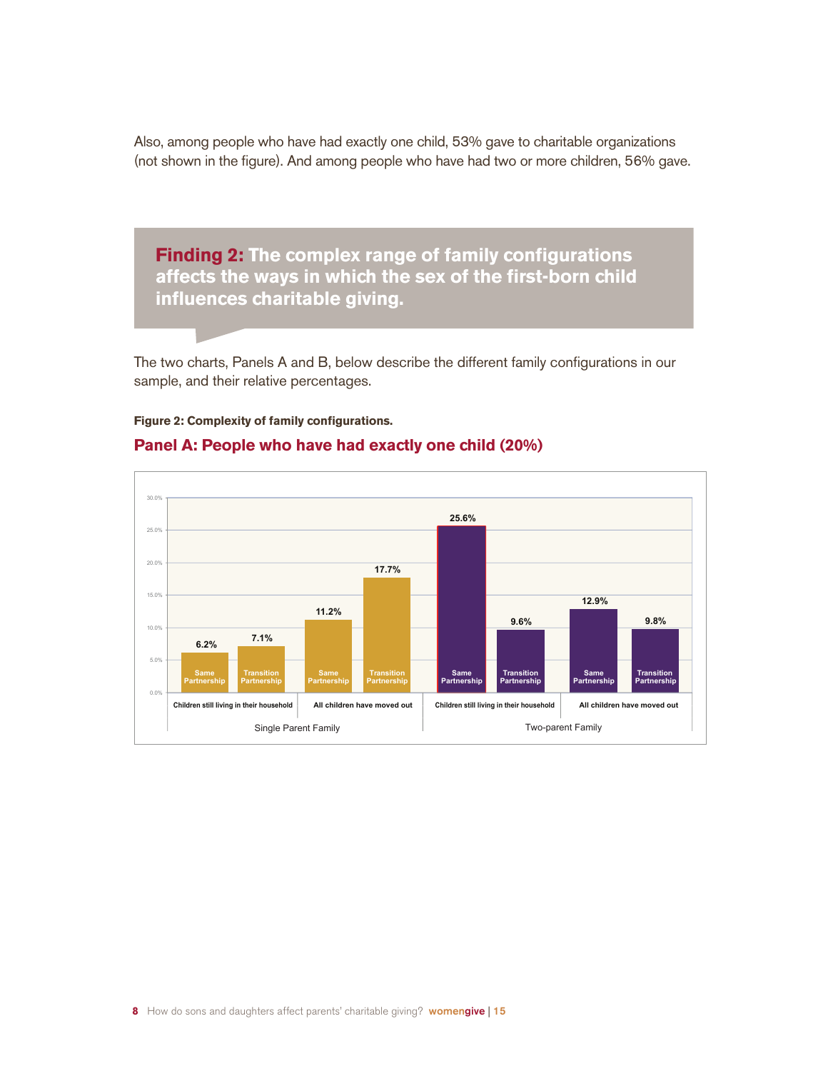Also, among people who have had exactly one child, 53% gave to charitable organizations (not shown in the figure). And among people who have had two or more children, 56% gave.

**Finding 2: The complex range of family configurations affects the ways in which the sex of the first-born child influences charitable giving.**

The two charts, Panels A and B, below describe the different family configurations in our sample, and their relative percentages.

#### **Figure 2: Complexity of family configurations.**



#### **Panel A: People who have had exactly one child (20%)**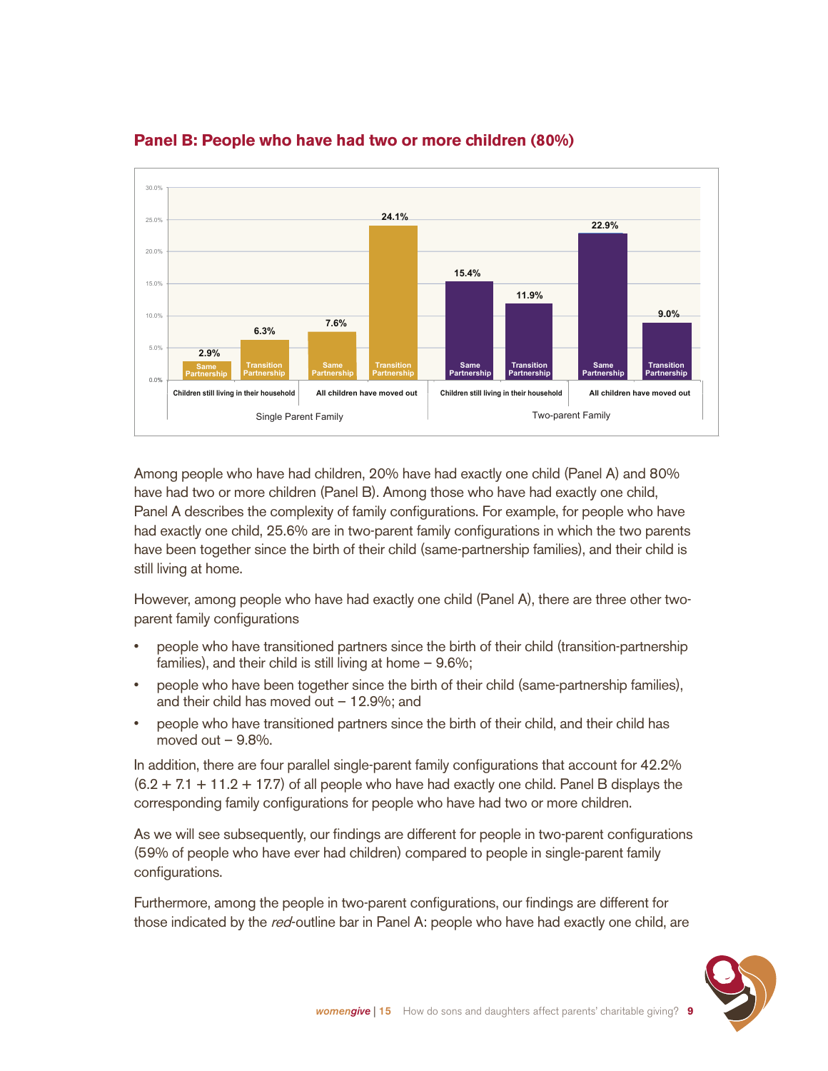

#### **Panel B: People who have had two or more children (80%)**

Among people who have had children, 20% have had exactly one child (Panel A) and 80% have had two or more children (Panel B). Among those who have had exactly one child, Panel A describes the complexity of family configurations. For example, for people who have had exactly one child, 25.6% are in two-parent family configurations in which the two parents have been together since the birth of their child (same-partnership families), and their child is still living at home.

However, among people who have had exactly one child (Panel A), there are three other twoparent family configurations

- people who have transitioned partners since the birth of their child (transition-partnership families), and their child is still living at home – 9.6%;
- people who have been together since the birth of their child (same-partnership families), and their child has moved out  $-12.9\%$ ; and
- people who have transitioned partners since the birth of their child, and their child has moved out  $-9.8\%$ .

In addition, there are four parallel single-parent family configurations that account for 42.2%  $(6.2 + 7.1 + 11.2 + 17.7)$  of all people who have had exactly one child. Panel B displays the corresponding family configurations for people who have had two or more children.

As we will see subsequently, our findings are different for people in two-parent configurations (59% of people who have ever had children) compared to people in single-parent family configurations.

Furthermore, among the people in two-parent configurations, our findings are different for those indicated by the red-outline bar in Panel A: people who have had exactly one child, are

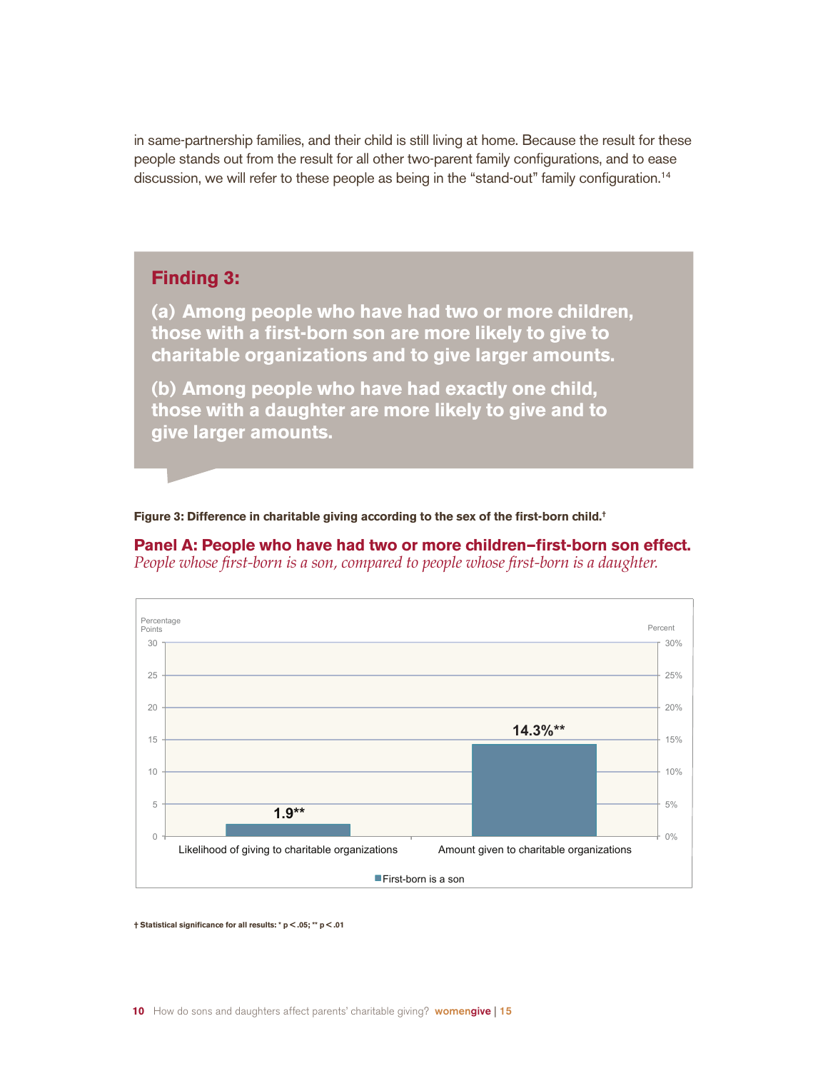in same-partnership families, and their child is still living at home. Because the result for these people stands out from the result for all other two-parent family configurations, and to ease discussion, we will refer to these people as being in the "stand-out" family configuration.<sup>14</sup>

#### **Finding 3:**

**(a) Among people who have had two or more children, those with a first-born son are more likely to give to charitable organizations and to give larger amounts.**

**(b) Among people who have had exactly one child, those with a daughter are more likely to give and to give larger amounts.** 

**Figure 3: Difference in charitable giving according to the sex of the first-born child.†**

#### **Panel A: People who have had two or more children—first-born son effect.**





**† Statistical significance for all results: \* p < .05; \*\* p < .01**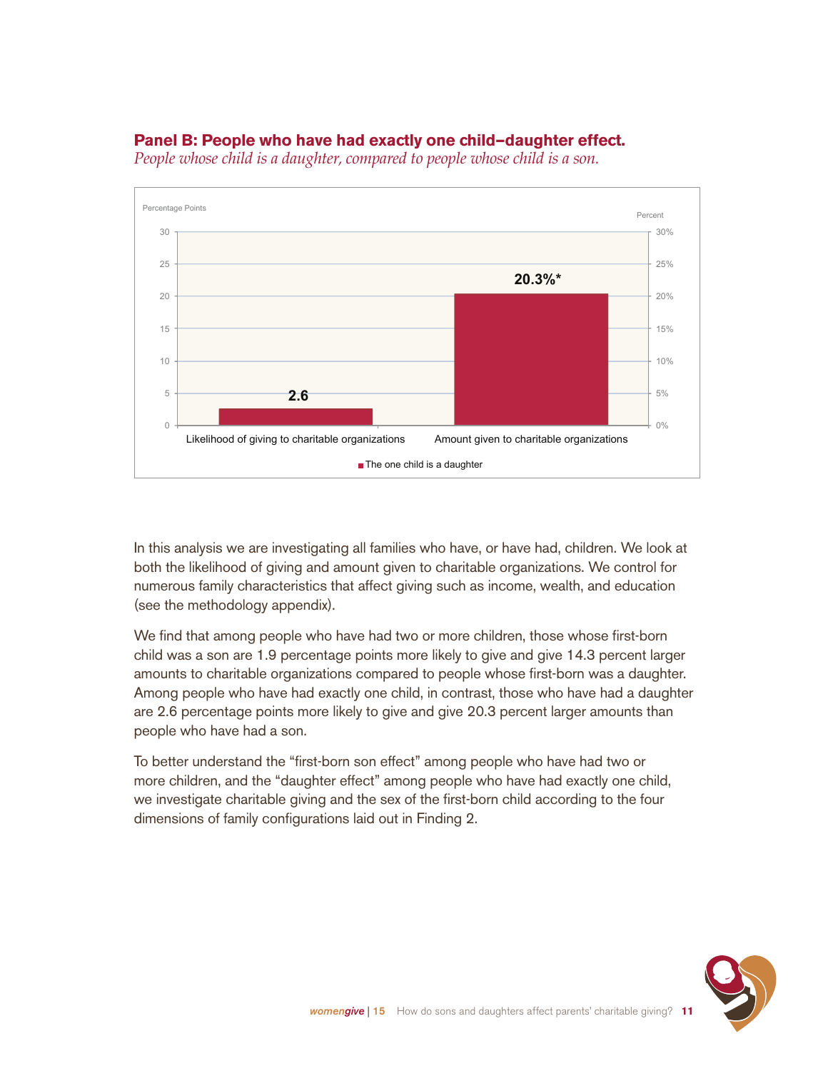



*People whose child is a daughter, compared to people whose child is a son.*

In this analysis we are investigating all families who have, or have had, children. We look at both the likelihood of giving and amount given to charitable organizations. We control for numerous family characteristics that affect giving such as income, wealth, and education (see the methodology appendix).

We find that among people who have had two or more children, those whose first-born child was a son are 1.9 percentage points more likely to give and give 14.3 percent larger amounts to charitable organizations compared to people whose first-born was a daughter. Among people who have had exactly one child, in contrast, those who have had a daughter are 2.6 percentage points more likely to give and give 20.3 percent larger amounts than people who have had a son.

To better understand the "first-born son effect" among people who have had two or more children, and the "daughter effect" among people who have had exactly one child, we investigate charitable giving and the sex of the first-born child according to the four dimensions of family configurations laid out in Finding 2.

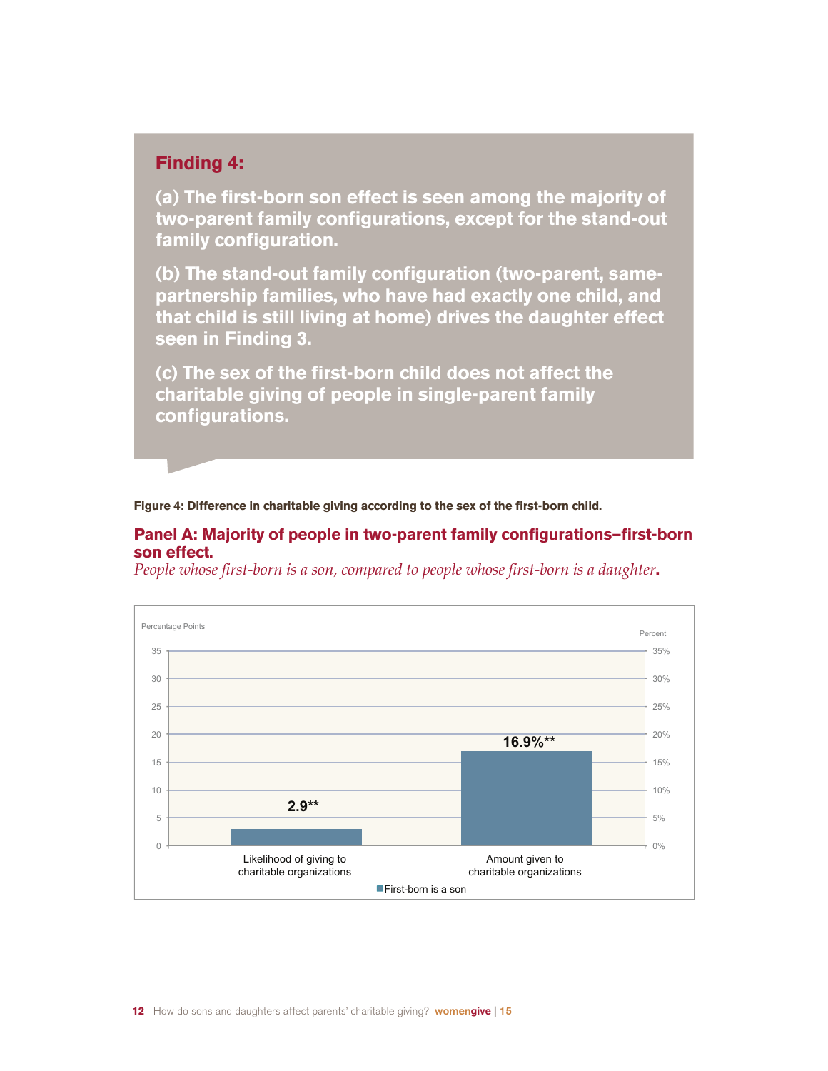#### **Finding 4:**

**(a) The first-born son effect is seen among the majority of two-parent family configurations, except for the stand-out family configuration.** 

**(b) The stand-out family configuration (two-parent, samepartnership families, who have had exactly one child, and that child is still living at home) drives the daughter effect seen in Finding 3.**

**(c) The sex of the first-born child does not affect the charitable giving of people in single-parent family configurations.**

**Figure 4: Difference in charitable giving according to the sex of the first-born child.**

#### **Panel A: Majority of people in two-parent family configurations—first-born son effect.**

*People whose first-born is a son, compared to people whose first-born is a daughter***.**

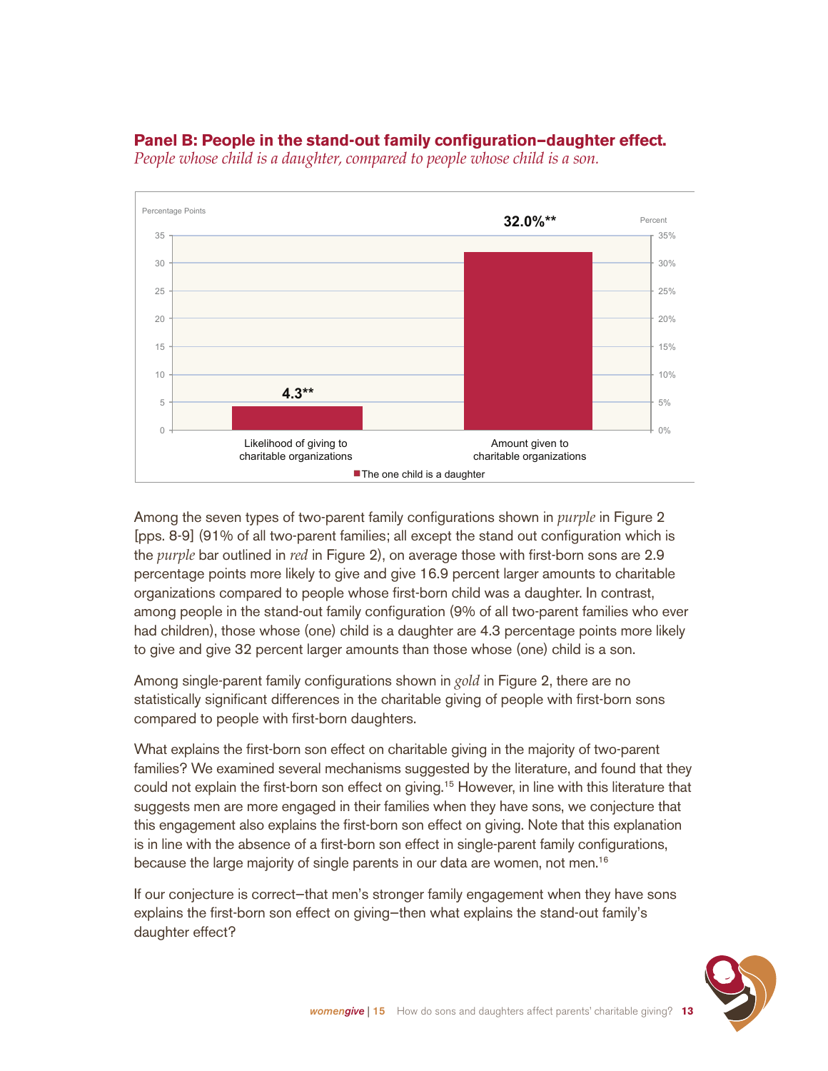

#### **Panel B: People in the stand-out family configuration—daughter effect.**

*People whose child is a daughter, compared to people whose child is a son.*

Among the seven types of two-parent family configurations shown in *purple* in Figure 2 [pps. 8-9] (91% of all two-parent families; all except the stand out configuration which is the *purple* bar outlined in *red* in Figure 2), on average those with first-born sons are 2.9 percentage points more likely to give and give 16.9 percent larger amounts to charitable organizations compared to people whose first-born child was a daughter. In contrast, among people in the stand-out family configuration (9% of all two-parent families who ever had children), those whose (one) child is a daughter are 4.3 percentage points more likely to give and give 32 percent larger amounts than those whose (one) child is a son.

Among single-parent family configurations shown in *gold* in Figure 2, there are no statistically significant differences in the charitable giving of people with first-born sons compared to people with first-born daughters.

What explains the first-born son effect on charitable giving in the majority of two-parent families? We examined several mechanisms suggested by the literature, and found that they could not explain the first-born son effect on giving.15 However, in line with this literature that suggests men are more engaged in their families when they have sons, we conjecture that this engagement also explains the first-born son effect on giving. Note that this explanation is in line with the absence of a first-born son effect in single-parent family configurations, because the large majority of single parents in our data are women, not men.<sup>16</sup>

If our conjecture is correct—that men's stronger family engagement when they have sons explains the first-born son effect on giving—then what explains the stand-out family's daughter effect?

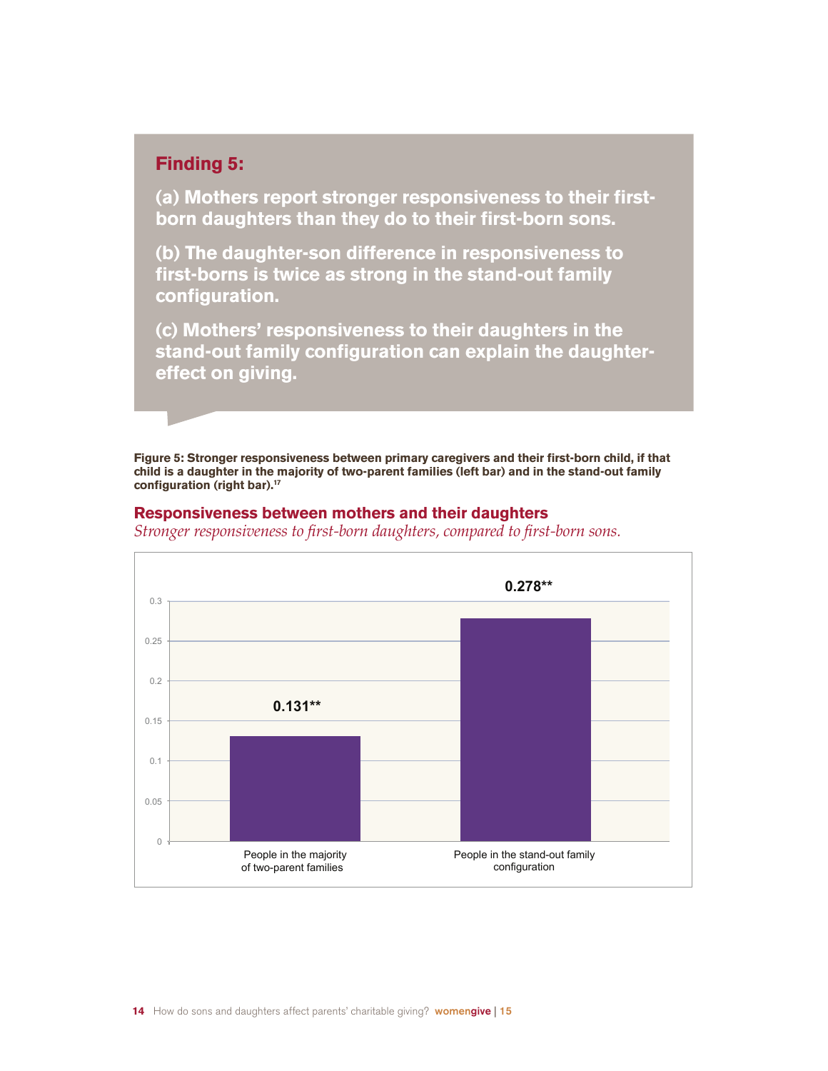#### **Finding 5:**

**(a) Mothers report stronger responsiveness to their firstborn daughters than they do to their first-born sons.**

**(b) The daughter-son difference in responsiveness to first-borns is twice as strong in the stand-out family configuration.** 

**(c) Mothers' responsiveness to their daughters in the stand-out family configuration can explain the daughtereffect on giving.**

**Figure 5: Stronger responsiveness between primary caregivers and their first-born child, if that child is a daughter in the majority of two-parent families (left bar) and in the stand-out family configuration (right bar).17**

#### **Responsiveness between mothers and their daughters**

*Stronger responsiveness to first-born daughters, compared to first-born sons.*

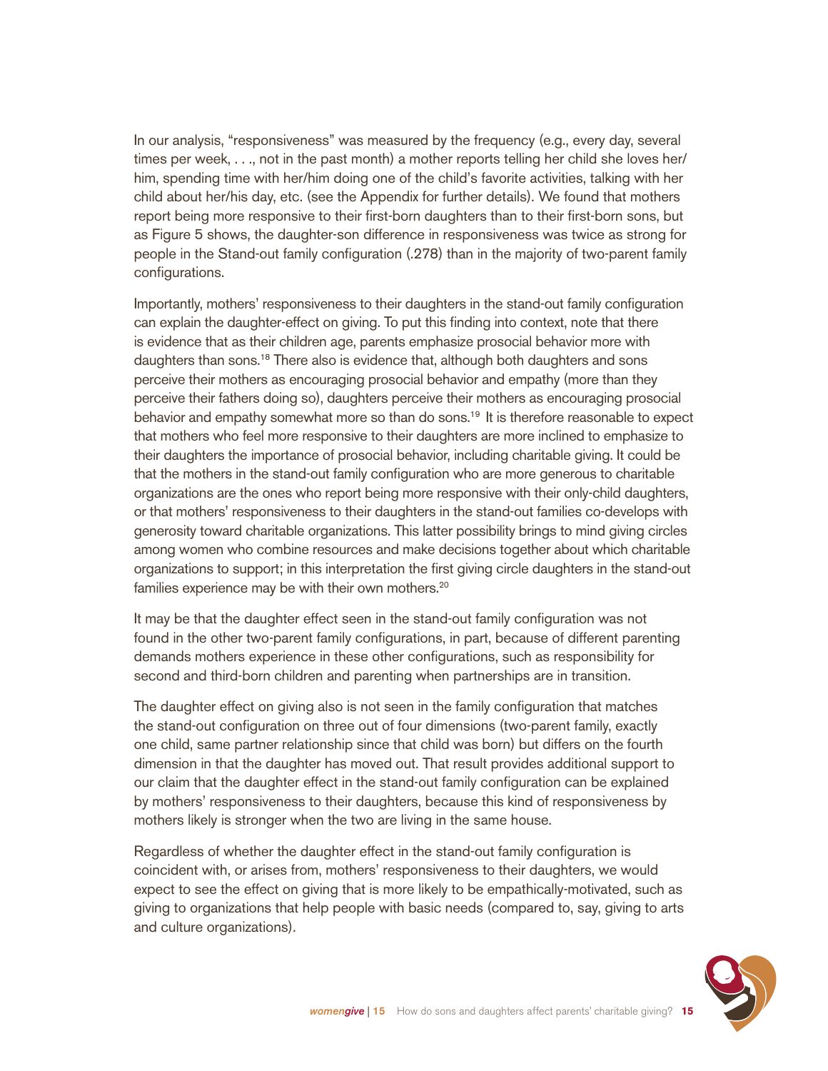In our analysis, "responsiveness" was measured by the frequency (e.g., every day, several times per week, . . ., not in the past month) a mother reports telling her child she loves her/ him, spending time with her/him doing one of the child's favorite activities, talking with her child about her/his day, etc. (see the Appendix for further details). We found that mothers report being more responsive to their first-born daughters than to their first-born sons, but as Figure 5 shows, the daughter-son difference in responsiveness was twice as strong for people in the Stand-out family configuration (.278) than in the majority of two-parent family configurations.

Importantly, mothers' responsiveness to their daughters in the stand-out family configuration can explain the daughter-effect on giving. To put this finding into context, note that there is evidence that as their children age, parents emphasize prosocial behavior more with daughters than sons.18 There also is evidence that, although both daughters and sons perceive their mothers as encouraging prosocial behavior and empathy (more than they perceive their fathers doing so), daughters perceive their mothers as encouraging prosocial behavior and empathy somewhat more so than do sons.<sup>19</sup> It is therefore reasonable to expect that mothers who feel more responsive to their daughters are more inclined to emphasize to their daughters the importance of prosocial behavior, including charitable giving. It could be that the mothers in the stand-out family configuration who are more generous to charitable organizations are the ones who report being more responsive with their only-child daughters, or that mothers' responsiveness to their daughters in the stand-out families co-develops with generosity toward charitable organizations. This latter possibility brings to mind giving circles among women who combine resources and make decisions together about which charitable organizations to support; in this interpretation the first giving circle daughters in the stand-out families experience may be with their own mothers.<sup>20</sup>

It may be that the daughter effect seen in the stand-out family configuration was not found in the other two-parent family configurations, in part, because of different parenting demands mothers experience in these other configurations, such as responsibility for second and third-born children and parenting when partnerships are in transition.

The daughter effect on giving also is not seen in the family configuration that matches the stand-out configuration on three out of four dimensions (two-parent family, exactly one child, same partner relationship since that child was born) but differs on the fourth dimension in that the daughter has moved out. That result provides additional support to our claim that the daughter effect in the stand-out family configuration can be explained by mothers' responsiveness to their daughters, because this kind of responsiveness by mothers likely is stronger when the two are living in the same house.

Regardless of whether the daughter effect in the stand-out family configuration is coincident with, or arises from, mothers' responsiveness to their daughters, we would expect to see the effect on giving that is more likely to be empathically-motivated, such as giving to organizations that help people with basic needs (compared to, say, giving to arts and culture organizations).

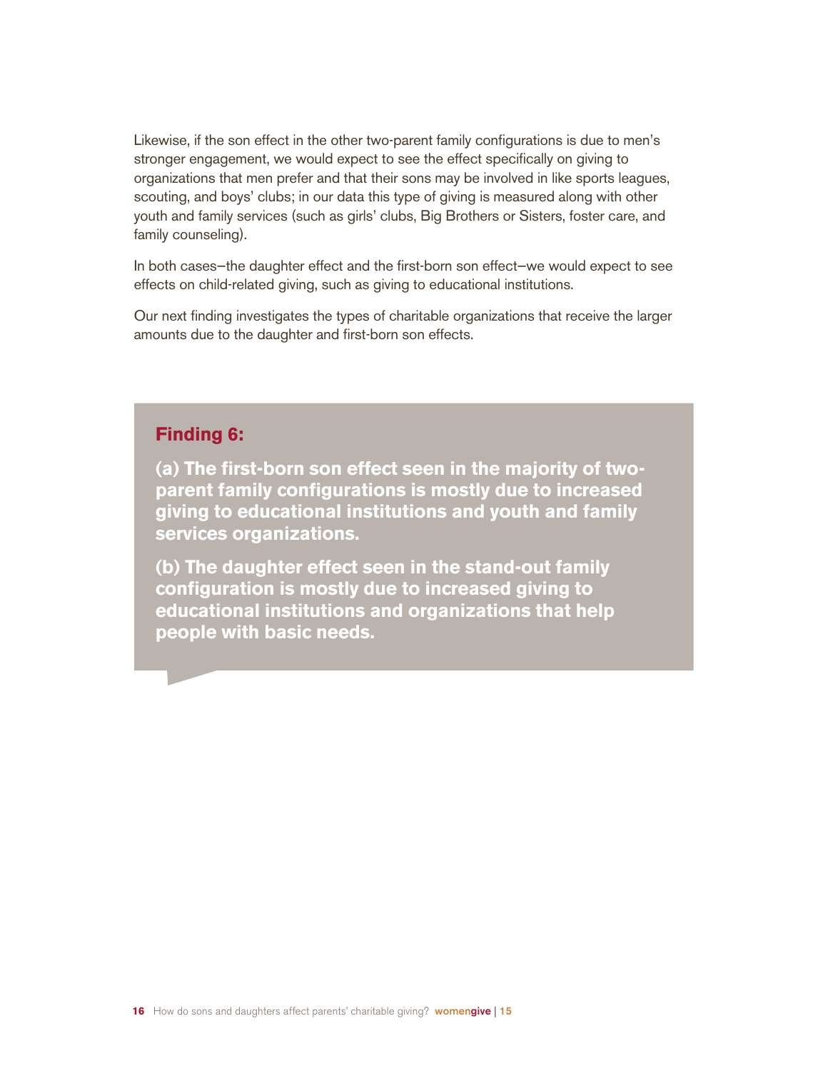Likewise, if the son effect in the other two-parent family configurations is due to men's stronger engagement, we would expect to see the effect specifically on giving to organizations that men prefer and that their sons may be involved in like sports leagues, scouting, and boys' clubs; in our data this type of giving is measured along with other youth and family services (such as girls' clubs, Big Brothers or Sisters, foster care, and family counseling).

In both cases—the daughter effect and the first-born son effect—we would expect to see effects on child-related giving, such as giving to educational institutions.

Our next finding investigates the types of charitable organizations that receive the larger amounts due to the daughter and first-born son effects.

#### **Finding 6:**

**(a) The first-born son effect seen in the majority of twoparent family configurations is mostly due to increased giving to educational institutions and youth and family services organizations.** 

**(b) The daughter effect seen in the stand-out family configuration is mostly due to increased giving to educational institutions and organizations that help people with basic needs.**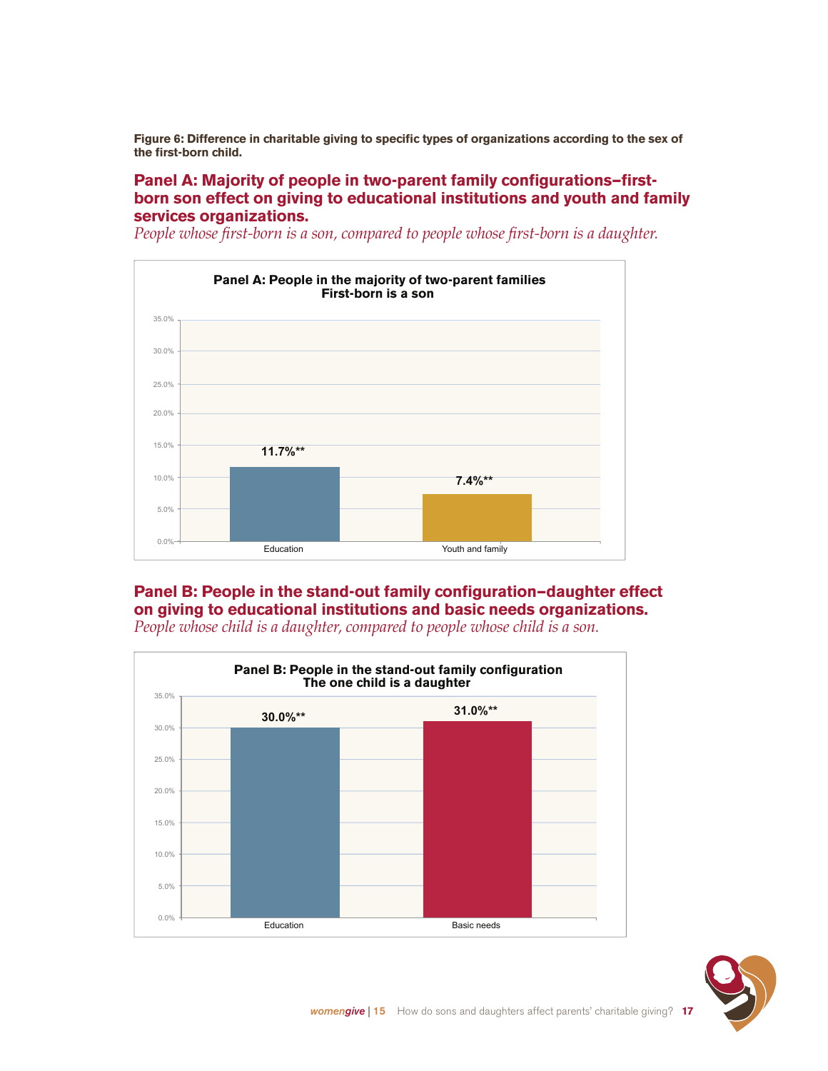**Figure 6: Difference in charitable giving to specific types of organizations according to the sex of the first-born child.**

#### **Panel A: Majority of people in two-parent family configurations—firstborn son effect on giving to educational institutions and youth and family services organizations.**

*People whose first-born is a son, compared to people whose first-born is a daughter.*



#### **Panel B: People in the stand-out family configuration—daughter effect on giving to educational institutions and basic needs organizations.**



*People whose child is a daughter, compared to people whose child is a son.*

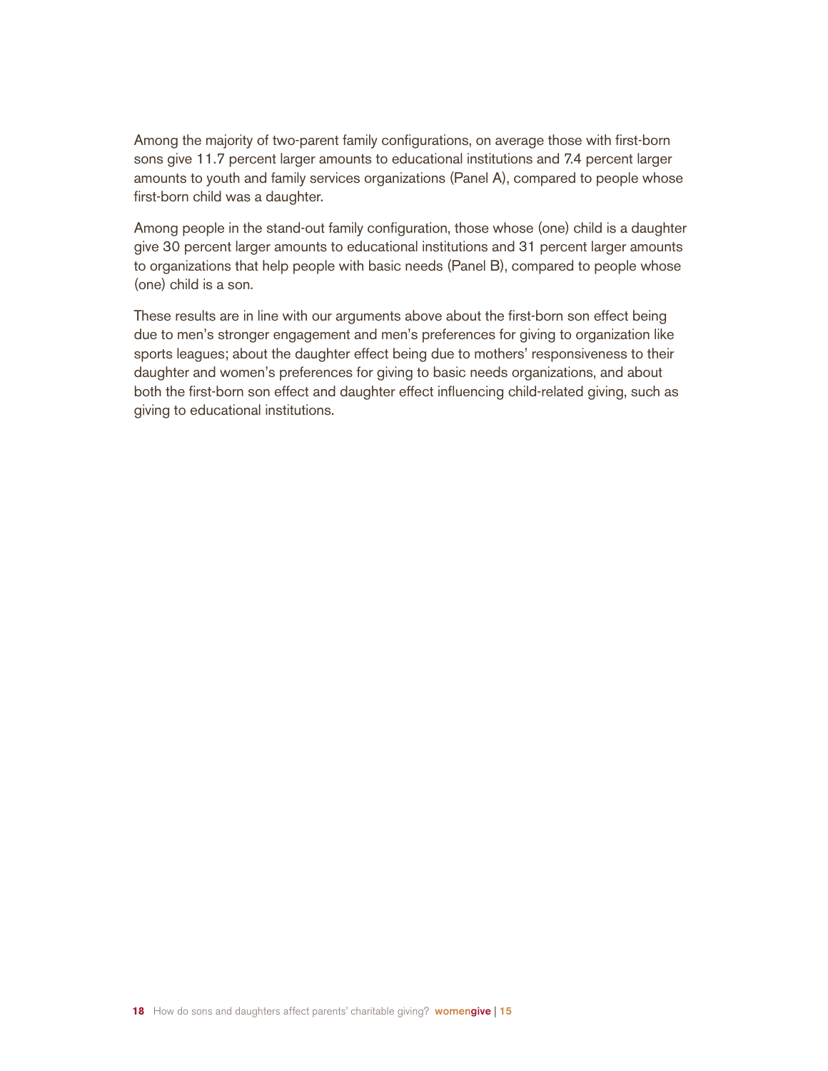Among the majority of two-parent family configurations, on average those with first-born sons give 11.7 percent larger amounts to educational institutions and 7.4 percent larger amounts to youth and family services organizations (Panel A), compared to people whose first-born child was a daughter.

Among people in the stand-out family configuration, those whose (one) child is a daughter give 30 percent larger amounts to educational institutions and 31 percent larger amounts to organizations that help people with basic needs (Panel B), compared to people whose (one) child is a son.

These results are in line with our arguments above about the first-born son effect being due to men's stronger engagement and men's preferences for giving to organization like sports leagues; about the daughter effect being due to mothers' responsiveness to their daughter and women's preferences for giving to basic needs organizations, and about both the first-born son effect and daughter effect influencing child-related giving, such as giving to educational institutions.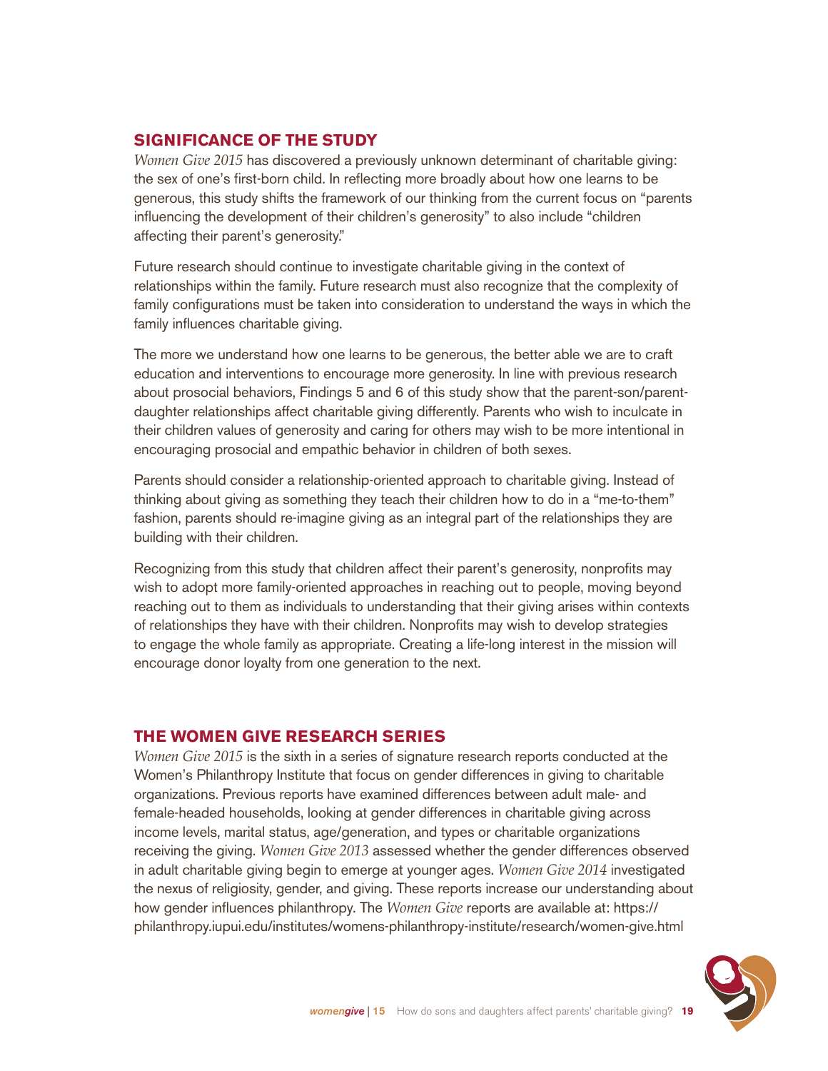#### **SIGNIFICANCE OF THE STUDY**

*Women Give 2015* has discovered a previously unknown determinant of charitable giving: the sex of one's first-born child. In reflecting more broadly about how one learns to be generous, this study shifts the framework of our thinking from the current focus on "parents influencing the development of their children's generosity" to also include "children affecting their parent's generosity."

Future research should continue to investigate charitable giving in the context of relationships within the family. Future research must also recognize that the complexity of family configurations must be taken into consideration to understand the ways in which the family influences charitable giving.

The more we understand how one learns to be generous, the better able we are to craft education and interventions to encourage more generosity. In line with previous research about prosocial behaviors, Findings 5 and 6 of this study show that the parent-son/parentdaughter relationships affect charitable giving differently. Parents who wish to inculcate in their children values of generosity and caring for others may wish to be more intentional in encouraging prosocial and empathic behavior in children of both sexes.

Parents should consider a relationship-oriented approach to charitable giving. Instead of thinking about giving as something they teach their children how to do in a "me-to-them" fashion, parents should re-imagine giving as an integral part of the relationships they are building with their children.

Recognizing from this study that children affect their parent's generosity, nonprofits may wish to adopt more family-oriented approaches in reaching out to people, moving beyond reaching out to them as individuals to understanding that their giving arises within contexts of relationships they have with their children. Nonprofits may wish to develop strategies to engage the whole family as appropriate. Creating a life-long interest in the mission will encourage donor loyalty from one generation to the next.

#### **THE WOMEN GIVE RESEARCH SERIES**

*Women Give 2015* is the sixth in a series of signature research reports conducted at the Women's Philanthropy Institute that focus on gender differences in giving to charitable organizations. Previous reports have examined differences between adult male- and female-headed households, looking at gender differences in charitable giving across income levels, marital status, age/generation, and types or charitable organizations receiving the giving. *Women Give 2013* assessed whether the gender differences observed in adult charitable giving begin to emerge at younger ages. *Women Give 2014* investigated the nexus of religiosity, gender, and giving. These reports increase our understanding about how gender influences philanthropy. The *Women Give* reports are available at: https:// philanthropy.iupui.edu/institutes/womens-philanthropy-institute/research/women-give.html

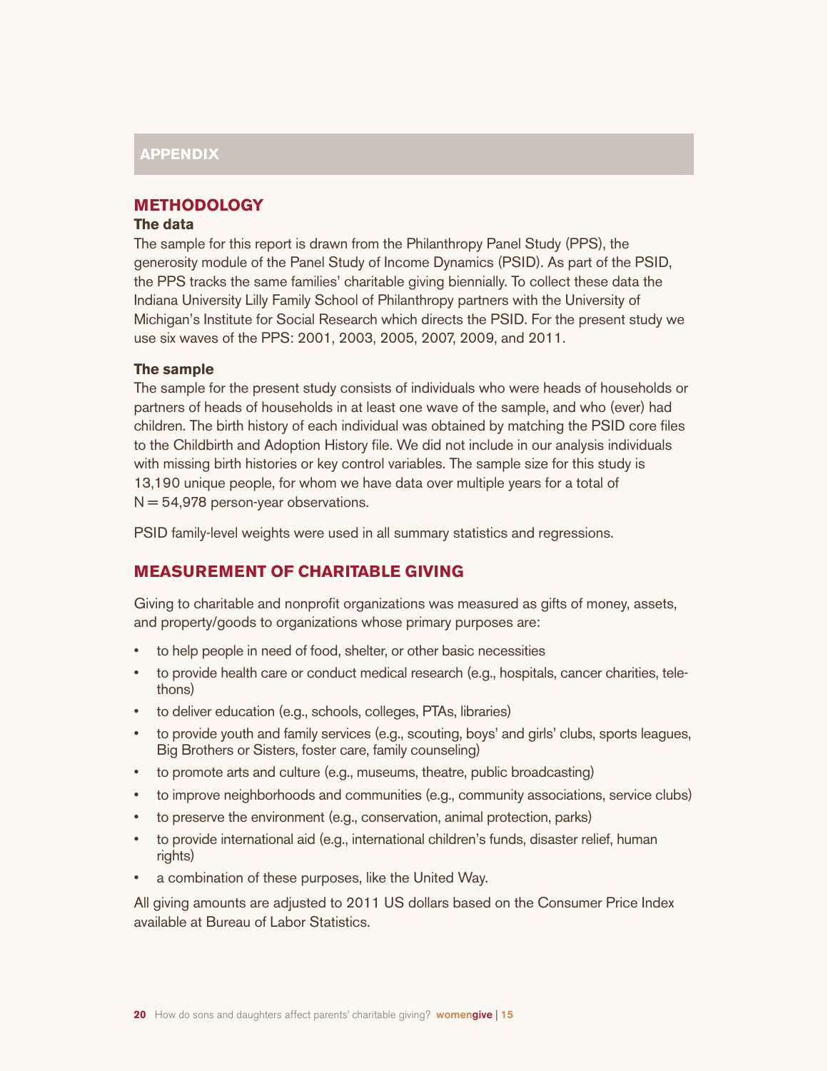#### **APPENDIX**

#### **METHODOLOGY**

#### **The data**

The sample for this report is drawn from the Philanthropy Panel Study (PPS), the generosity module of the Panel Study of Income Dynamics (PSID). As part of the PSID, the PPS tracks the same families' charitable giving biennially. To collect these data the Indiana University Lilly Family School of Philanthropy partners with the University of Michigan's Institute for Social Research which directs the PSID. For the present study we use six waves of the PPS: 2001, 2003, 2005, 2007, 2009, and 2011.

#### **The sample**

The sample for the present study consists of individuals who were heads of households or partners of heads of households in at least one wave of the sample, and who (ever) had children. The birth history of each individual was obtained by matching the PSID core files to the Childbirth and Adoption History file. We did not include in our analysis individuals with missing birth histories or key control variables. The sample size for this study is 13,190 unique people, for whom we have data over multiple years for a total of  $N = 54,978$  person-year observations.

PSID family-level weights were used in all summary statistics and regressions.

#### **MEASUREMENT OF CHARITABLE GIVING**

Giving to charitable and nonprofit organizations was measured as gifts of money, assets, and property/goods to organizations whose primary purposes are:

- to help people in need of food, shelter, or other basic necessities
- to provide health care or conduct medical research (e.g., hospitals, cancer charities, telethons)
- to deliver education (e.g., schools, colleges, PTAs, libraries)
- to provide youth and family services (e.g., scouting, boys' and girls' clubs, sports leagues, Big Brothers or Sisters, foster care, family counseling)
- • to promote arts and culture (e.g., museums, theatre, public broadcasting)
- to improve neighborhoods and communities (e.g., community associations, service clubs)
- to preserve the environment (e.g., conservation, animal protection, parks)
- to provide international aid (e.g., international children's funds, disaster relief, human rights)
- a combination of these purposes, like the United Way.

All giving amounts are adjusted to 2011 US dollars based on the Consumer Price Index available at Bureau of Labor Statistics.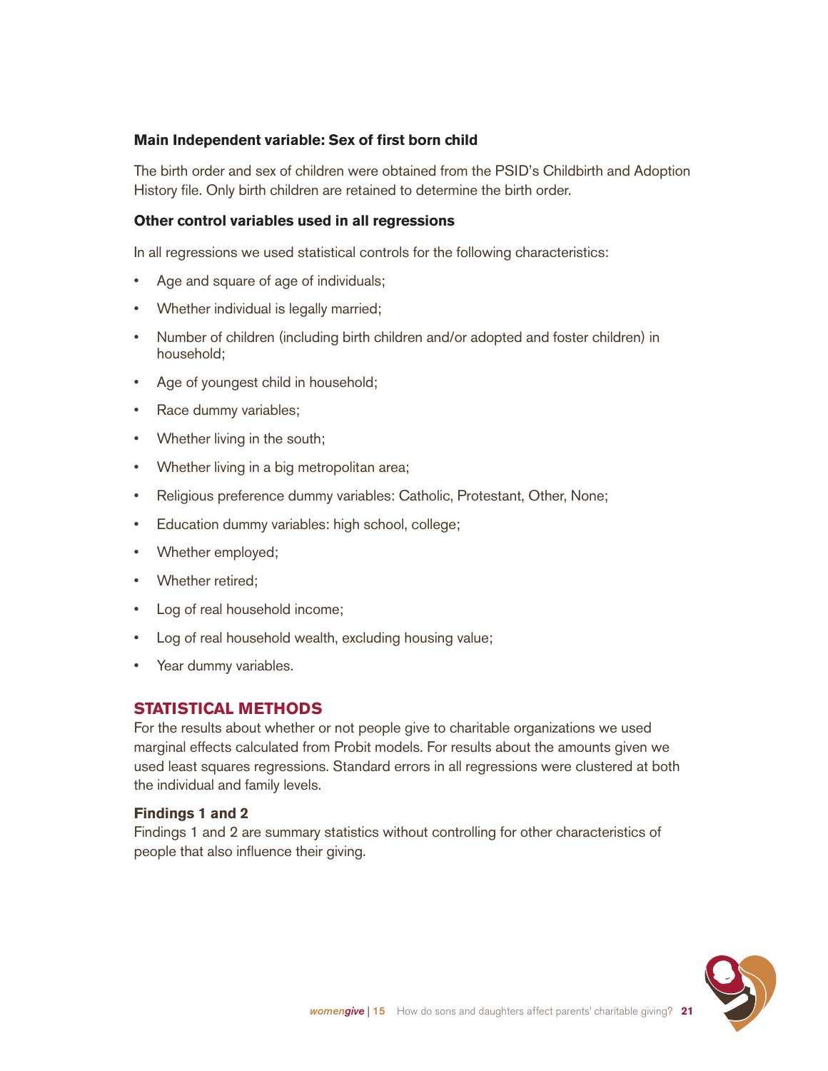#### **Main Independent variable: Sex of first born child**

The birth order and sex of children were obtained from the PSID's Childbirth and Adoption History file. Only birth children are retained to determine the birth order.

#### **Other control variables used in all regressions**

In all regressions we used statistical controls for the following characteristics:

- Age and square of age of individuals;
- Whether individual is legally married;
- Number of children (including birth children and/or adopted and foster children) in household;
- Age of youngest child in household;
- Race dummy variables;
- Whether living in the south;
- Whether living in a big metropolitan area;
- Religious preference dummy variables: Catholic, Protestant, Other, None;
- Education dummy variables: high school, college;
- Whether employed;
- Whether retired;
- Log of real household income;
- Log of real household wealth, excluding housing value;
- Year dummy variables.

#### **STATISTICAL METHODS**

For the results about whether or not people give to charitable organizations we used marginal effects calculated from Probit models. For results about the amounts given we used least squares regressions. Standard errors in all regressions were clustered at both the individual and family levels.

#### **Findings 1 and 2**

Findings 1 and 2 are summary statistics without controlling for other characteristics of people that also influence their giving.

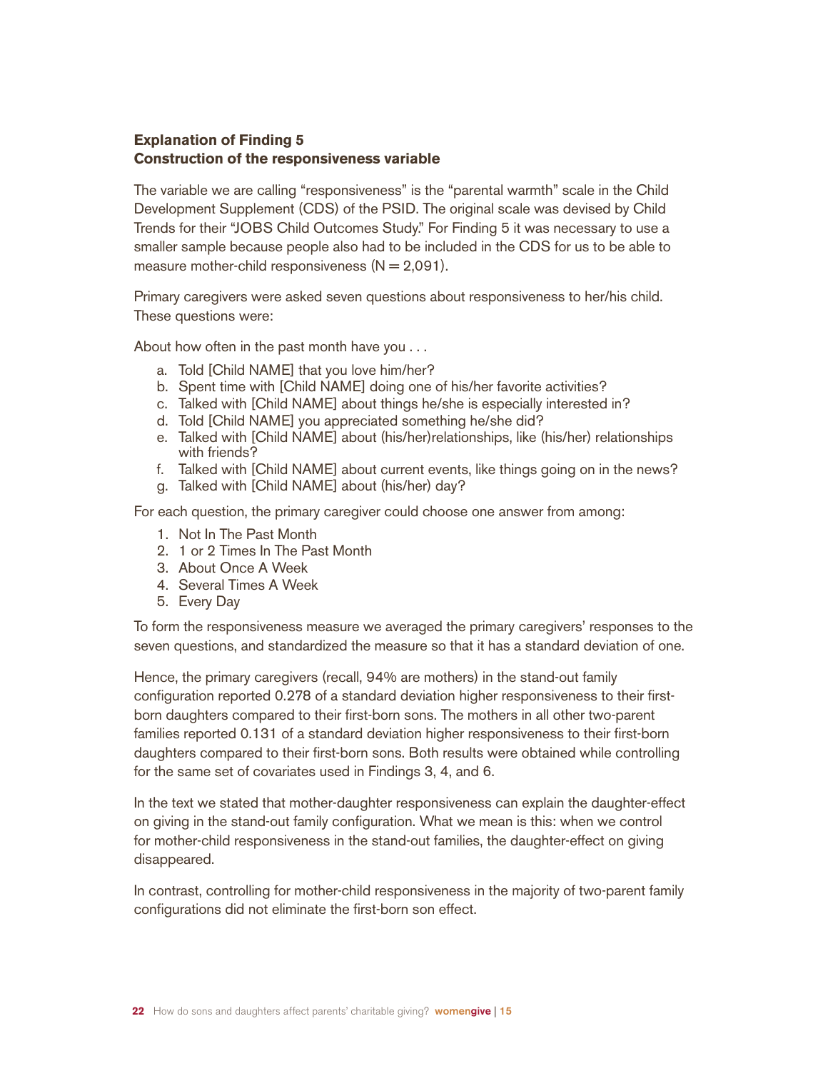#### **Explanation of Finding 5 Construction of the responsiveness variable**

The variable we are calling "responsiveness" is the "parental warmth" scale in the Child Development Supplement (CDS) of the PSID. The original scale was devised by Child Trends for their "JOBS Child Outcomes Study." For Finding 5 it was necessary to use a smaller sample because people also had to be included in the CDS for us to be able to measure mother-child responsiveness  $(N = 2.091)$ .

Primary caregivers were asked seven questions about responsiveness to her/his child. These questions were:

About how often in the past month have you . . .

- a. Told [Child NAME] that you love him/her?
- b. Spent time with [Child NAME] doing one of his/her favorite activities?
- c. Talked with [Child NAME] about things he/she is especially interested in?
- d. Told [Child NAME] you appreciated something he/she did?
- e. Talked with [Child NAME] about (his/her)relationships, like (his/her) relationships with friends?
- f. Talked with [Child NAME] about current events, like things going on in the news?
- g. Talked with [Child NAME] about (his/her) day?

For each question, the primary caregiver could choose one answer from among:

- 1. Not In The Past Month
- 2. 1 or 2 Times In The Past Month
- 3. About Once A Week
- 4. Several Times A Week
- 5. Every Day

To form the responsiveness measure we averaged the primary caregivers' responses to the seven questions, and standardized the measure so that it has a standard deviation of one.

Hence, the primary caregivers (recall, 94% are mothers) in the stand-out family configuration reported 0.278 of a standard deviation higher responsiveness to their firstborn daughters compared to their first-born sons. The mothers in all other two-parent families reported 0.131 of a standard deviation higher responsiveness to their first-born daughters compared to their first-born sons. Both results were obtained while controlling for the same set of covariates used in Findings 3, 4, and 6.

In the text we stated that mother-daughter responsiveness can explain the daughter-effect on giving in the stand-out family configuration. What we mean is this: when we control for mother-child responsiveness in the stand-out families, the daughter-effect on giving disappeared.

In contrast, controlling for mother-child responsiveness in the majority of two-parent family configurations did not eliminate the first-born son effect.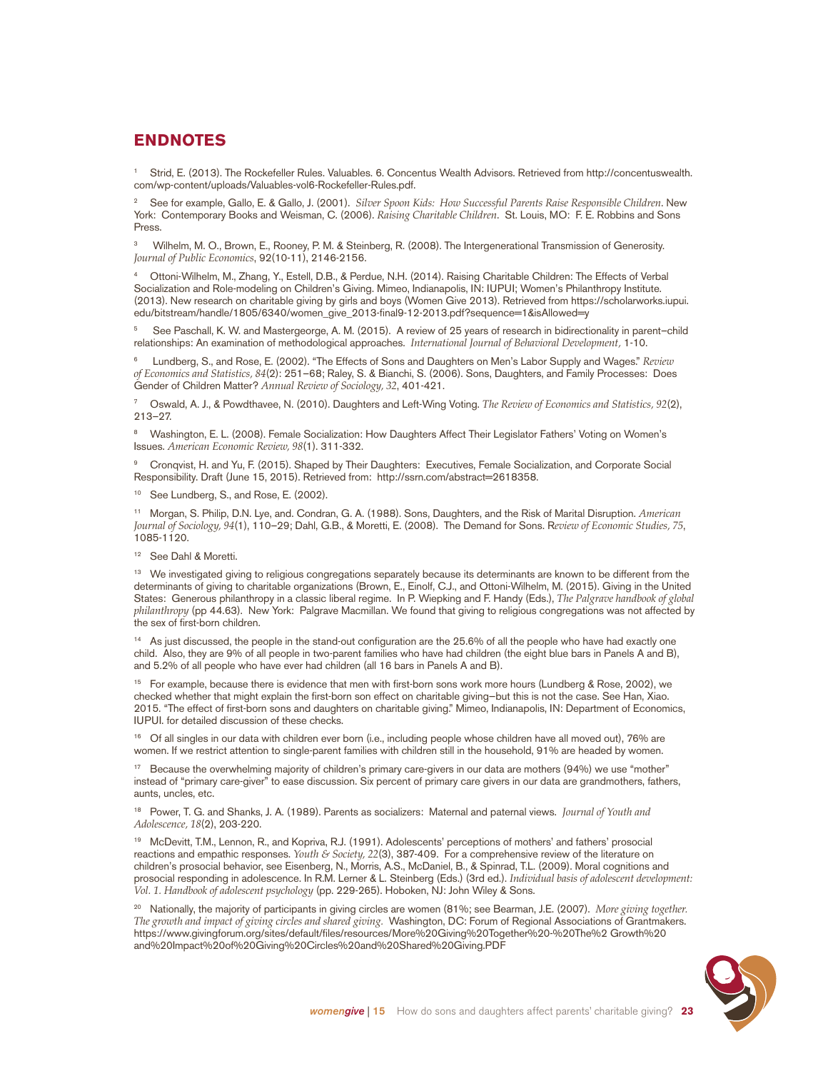#### **ENDNOTES**

<sup>1</sup> Strid, E. (2013). The Rockefeller Rules. Valuables. 6. Concentus Wealth Advisors. Retrieved from http://concentuswealth. com/wp-content/uploads/Valuables-vol6-Rockefeller-Rules.pdf.

<sup>2</sup> See for example, Gallo, E. & Gallo, J. (2001). *Silver Spoon Kids: How Successful Parents Raise Responsible Children*. New York: Contemporary Books and Weisman, C. (2006). *Raising Charitable Children*. St. Louis, MO: F. E. Robbins and Sons Press.

3 Wilhelm, M. O., Brown, E., Rooney, P. M. & Steinberg, R. (2008). The Intergenerational Transmission of Generosity. *Journal of Public Economics*, 92(10-11), 2146-2156.

<sup>4</sup> Ottoni-Wilhelm, M., Zhang, Y., Estell, D.B., & Perdue, N.H. (2014). Raising Charitable Children: The Effects of Verbal Socialization and Role-modeling on Children's Giving. Mimeo, Indianapolis, IN: IUPUI; Women's Philanthropy Institute. (2013). New research on charitable giving by girls and boys (Women Give 2013). Retrieved from https://scholarworks.iupui. edu/bitstream/handle/1805/6340/women\_give\_2013-final9-12-2013.pdf?sequence=1&isAllowed=y

5 See Paschall, K. W. and Mastergeorge, A. M. (2015). A review of 25 years of research in bidirectionality in parent–child relationships: An examination of methodological approaches. *International Journal of Behavioral Development,* 1-10.

6 Lundberg, S., and Rose, E. (2002). "The Effects of Sons and Daughters on Men's Labor Supply and Wages." *Review of Economics and Statistics, 84*(2): 251–68; Raley, S. & Bianchi, S. (2006). Sons, Daughters, and Family Processes: Does Gender of Children Matter? *Annual Review of Sociology, 32*, 401-421.

<sup>7</sup> Oswald, A. J., & Powdthavee, N. (2010). Daughters and Left-Wing Voting. *The Review of Economics and Statistics, 92*(2), 213–27.

<sup>8</sup> Washington, E. L. (2008). Female Socialization: How Daughters Affect Their Legislator Fathers' Voting on Women's Issues. *American Economic Review, 98*(1). 311-332.

<sup>9</sup> Cronqvist, H. and Yu, F. (2015). Shaped by Their Daughters: Executives, Female Socialization, and Corporate Social Responsibility. Draft (June 15, 2015). Retrieved from: http://ssrn.com/abstract=2618358.

<sup>10</sup> See Lundberg, S., and Rose, E. (2002).

<sup>11</sup> Morgan, S. Philip, D.N. Lye, and. Condran, G. A. (1988). Sons, Daughters, and the Risk of Marital Disruption. *American Journal of Sociology, 94*(1), 110–29; Dahl, G.B., & Moretti, E. (2008). The Demand for Sons. R*eview of Economic Studies, 75*, 1085-1120.

<sup>12</sup> See Dahl & Moretti.

<sup>13</sup> We investigated giving to religious congregations separately because its determinants are known to be different from the determinants of giving to charitable organizations (Brown, E., Einolf, C.J., and Ottoni-Wilhelm, M. (2015). Giving in the United States: Generous philanthropy in a classic liberal regime. In P. Wiepking and F. Handy (Eds.), *The Palgrave handbook of global philanthropy* (pp 44.63). New York: Palgrave Macmillan. We found that giving to religious congregations was not affected by the sex of first-born children.

<sup>14</sup> As just discussed, the people in the stand-out configuration are the 25.6% of all the people who have had exactly one child. Also, they are 9% of all people in two-parent families who have had children (the eight blue bars in Panels A and B), and 5.2% of all people who have ever had children (all 16 bars in Panels A and B).

<sup>15</sup> For example, because there is evidence that men with first-born sons work more hours (Lundberg & Rose, 2002), we checked whether that might explain the first-born son effect on charitable giving—but this is not the case. See Han, Xiao. 2015. "The effect of first-born sons and daughters on charitable giving." Mimeo, Indianapolis, IN: Department of Economics, IUPUI. for detailed discussion of these checks.

<sup>16</sup> Of all singles in our data with children ever born (i.e., including people whose children have all moved out), 76% are women. If we restrict attention to single-parent families with children still in the household, 91% are headed by women.

<sup>17</sup> Because the overwhelming majority of children's primary care-givers in our data are mothers (94%) we use "mother" instead of "primary care-giver" to ease discussion. Six percent of primary care givers in our data are grandmothers, fathers, aunts, uncles, etc.

<sup>18</sup> Power, T. G. and Shanks, J. A. (1989). Parents as socializers: Maternal and paternal views. *Journal of Youth and Adolescence, 18*(2), 203-220.

<sup>19</sup> McDevitt, T.M., Lennon, R., and Kopriva, R.J. (1991). Adolescents' perceptions of mothers' and fathers' prosocial reactions and empathic responses. *Youth & Society, 22*(3), 387-409. For a comprehensive review of the literature on children's prosocial behavior, see Eisenberg, N., Morris, A.S., McDaniel, B., & Spinrad, T.L. (2009). Moral cognitions and prosocial responding in adolescence. In R.M. Lerner & L. Steinberg (Eds.) (3rd ed.). *Individual basis of adolescent development: Vol. 1. Handbook of adolescent psychology* (pp. 229-265). Hoboken, NJ: John Wiley & Sons.

<sup>20</sup> Nationally, the majority of participants in giving circles are women (81%; see Bearman, J.E. (2007). *More giving together. The growth and impact of giving circles and shared giving.* Washington, DC: Forum of Regional Associations of Grantmakers. https://www.givingforum.org/sites/default/files/resources/More%20Giving%20Together%20-%20The%2 Growth%20 and%20Impact%20of%20Giving%20Circles%20and%20Shared%20Giving.PDF